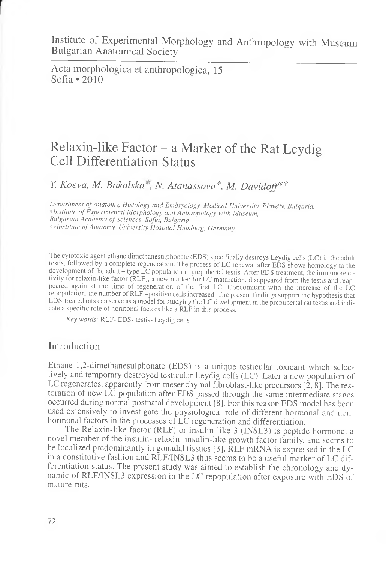Institute of Experimental Morphology and Anthropology with Museum Bulgarian Anatomical Society

Acta morphologica et anthropologica, 15 Sofia • 2010

# Relaxin-like Factor - a Marker of the Rat Leydig Cell Differentiation Status

*Y. Koeva, M. Bakedska'\ N. Atanassova\*, M. Davidoff\*\**

*Department of Anatomy, Histology and Embryology, Medical University, Plovdiv, Bulgaria, ■ in stitu te o f E x p e r im e n ta l M o r p h o lo g y a n d A n th r o p o lo g y w ith M u se u m , B u lg a r ia n A c a d e m y o f S c ie n c e s, S o fia , B u lg a ria* \*\* Institute of Anatomy, University Hospital Hamburg, Germany

The cytotoxic agent ethane dimethanesulphonate (EDS) specifically destroys Leydig cells (LC) in the adult testis, followed by a complete regeneration. The process of LC renewal after EDS shows homology to the development of the adult - type LC population in prepubertal testis. After EDS treatment, the immunoreactivity for relaxin-like factor (RLF), a new marker for LC maturation, disappeared from the testis and reappeared again at the time of regeneration of the first LC. Concomitant with the increase of the LC repopulation, the number of RLF -positive cells increased. The present findings support the hypothesis that EDS-treated rats can serve as a model for studying the LC development in the prepubertal rat testis and indicate a specific role of hormonal factors like a RLF in this process.

Key words: RLF- EDS- testis- Leydig cells.

#### Introduction

Ethane- 1,2-dimethanesulphonate (EDS) is a unique testicular toxicant which selectively and temporary destroyed testicular Leydig cells (LC). Later a new population of LC regenerates, apparently from mesenchymal fibroblast-like precursors [2, 8]. The restoration of new LC population after EDS passed through the same intermediate stages occurred during normal postnatal development [8]. For this reason EDS model has been used extensively to investigate the physiological role of different hormonal and nonhormonal factors in the processes of LC regeneration and differentiation.

The Relaxin-like factor (RLF) or insulin-like 3 (INSL3) is peptide hormone, a novel member of the insulin- relaxin- insulin-like growth factor family, and seems to be localized predominantly in gonadal tissues [3]. RLF mRNA is expressed in the LC in a constitutive fashion and RLF/INSL3 thus seems to be a useful marker of LC differentiation status. The present study was aimed to establish the chronology and dynamic of RLF/INSL3 expression in the LC repopulation after exposure with EDS of mature rats.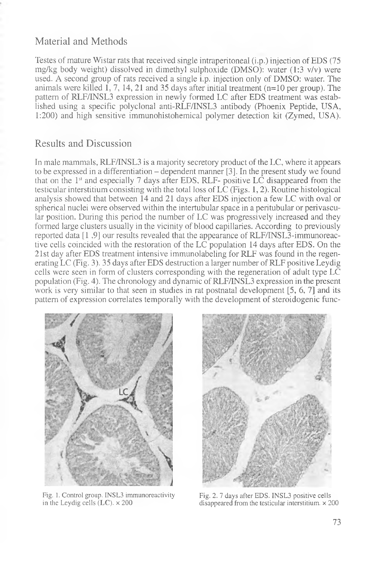## Material and Methods

Testes of mature Wistar rats that received single intraperitoneal (i.p.) injection of EDS (75 mg/kg body weight) dissolved in dimethyl sulphoxide (DMSO): water (1:3 v/v) were used. A second group of rats received a single i.p. injection only of DMSO: water. The animals were killed  $\overline{1}$ ,  $\overline{7}$ ,  $\overline{14}$ ,  $\overline{21}$  and  $\overline{35}$  days after initial treatment (n=10 per group). The pattern of RLF/INSL3 expression in newly formed LC after EDS treatment was established using a specific polyclonal anti-RLF/INSL3 antibody (Phoenix Peptide, USA, 1:200) and high sensitive immunohistohemical polymer detection kit (Zymed, USA).

### Results and Discussion

In male mammals, RLF/INSL3 is a majority secretory product of the LC, where it appears to be expressed in a differentiation  $-\theta$  dependent manner [3]. In the present study we found that on the  $1<sup>st</sup>$  and especially 7 days after EDS, RLF- positive LC disappeared from the testicular interstitium consisting with the total loss of LC (Figs. 1, 2). Routine histological analysis showed that between 14 and 21 days after EDS injection a few LC with oval or spherical nuclei were observed within the intertubular space in a peritubular or perivascular position. During this period the number of LC was progressively increased and they formed large clusters usually in the vicinity of blood capillaries. According to previously reported data [1 ,9] our results revealed that the appearance of RLF/TNSL3-immunoreactive cells coincided with the restoration of the LC population 14 days after EDS. On the 21st day after EDS treatment intensive immunolabeling for RLF was found in the regenerating LC (Fig. 3). 35 days after EDS destruction a larger number of RLF positive Leydig cells were seen in form of clusters corresponding with the regeneration of adult type LC population (Fig. 4). The chronology and dynamic of RLF/INSL3 expression in the present work is very similar to that seen in studies in rat postnatal development [5, 6, 7] and its pattern of expression correlates temporally with the development of steroidogenic func-



Fig. 1. Control group. INSL3 immunoreactivity Fig. 2. 7 days after EDS. INSL3 positive cells in the Leydig cells  $(LC) \times 200$  disappeared from the testicular interstitium.  $\times 2$ 



disappeared from the testicular interstitium.  $\times$  200